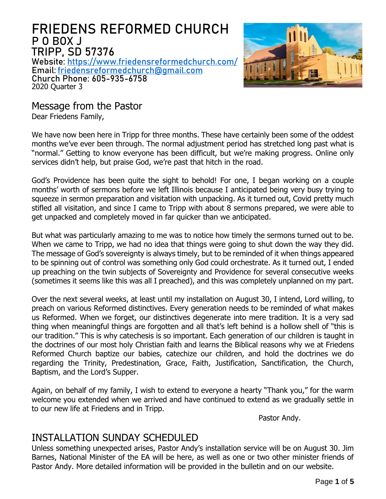# FRIEDENS REFORMED CHURCH P O BOX J TRIPP, SD 57376

Website: <https://www.friedensreformedchurch.com/> Email: [friedensreformedchurch@gmail.com](mailto:friedensreformedchurch@gmail.com) Church Phone: 605-935-6758 2020 Quarter 3



Message from the Pastor

Dear Friedens Family,

We have now been here in Tripp for three months. These have certainly been some of the oddest months we've ever been through. The normal adjustment period has stretched long past what is "normal." Getting to know everyone has been difficult, but we're making progress. Online only services didn't help, but praise God, we're past that hitch in the road.

God's Providence has been quite the sight to behold! For one, I began working on a couple months' worth of sermons before we left Illinois because I anticipated being very busy trying to squeeze in sermon preparation and visitation with unpacking. As it turned out, Covid pretty much stifled all visitation, and since I came to Tripp with about 8 sermons prepared, we were able to get unpacked and completely moved in far quicker than we anticipated.

But what was particularly amazing to me was to notice how timely the sermons turned out to be. When we came to Tripp, we had no idea that things were going to shut down the way they did. The message of God's sovereignty is always timely, but to be reminded of it when things appeared to be spinning out of control was something only God could orchestrate. As it turned out, I ended up preaching on the twin subjects of Sovereignty and Providence for several consecutive weeks (sometimes it seems like this was all I preached), and this was completely unplanned on my part.

Over the next several weeks, at least until my installation on August 30, I intend, Lord willing, to preach on various Reformed distinctives. Every generation needs to be reminded of what makes us Reformed. When we forget, our distinctives degenerate into mere tradition. It is a very sad thing when meaningful things are forgotten and all that's left behind is a hollow shell of "this is our tradition." This is why catechesis is so important. Each generation of our children is taught in the doctrines of our most holy Christian faith and learns the Biblical reasons why we at Friedens Reformed Church baptize our babies, catechize our children, and hold the doctrines we do regarding the Trinity, Predestination, Grace, Faith, Justification, Sanctification, the Church, Baptism, and the Lord's Supper.

Again, on behalf of my family, I wish to extend to everyone a hearty "Thank you," for the warm welcome you extended when we arrived and have continued to extend as we gradually settle in to our new life at Friedens and in Tripp.

Pastor Andy.

## INSTALLATION SUNDAY SCHEDULED

Unless something unexpected arises, Pastor Andy's installation service will be on August 30. Jim Barnes, National Minister of the EA will be here, as well as one or two other minister friends of Pastor Andy. More detailed information will be provided in the bulletin and on our website.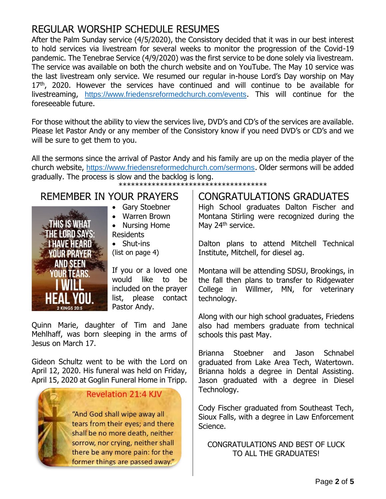# REGULAR WORSHIP SCHEDULE RESUMES

After the Palm Sunday service (4/5/2020), the Consistory decided that it was in our best interest to hold services via livestream for several weeks to monitor the progression of the Covid-19 pandemic. The Tenebrae Service (4/9/2020) was the first service to be done solely via livestream. The service was available on both the church website and on YouTube. The May 10 service was the last livestream only service. We resumed our regular in-house Lord's Day worship on May 17<sup>th</sup>, 2020. However the services have continued and will continue to be available for livestreaming, <https://www.friedensreformedchurch.com/events>. This will continue for the foreseeable future.

For those without the ability to view the services live, DVD's and CD's of the services are available. Please let Pastor Andy or any member of the Consistory know if you need DVD's or CD's and we will be sure to get them to you.

All the sermons since the arrival of Pastor Andy and his family are up on the media player of the church website, <https://www.friedensreformedchurch.com/sermons>. Older sermons will be added gradually. The process is slow and the backlog is long.

\*\*\*\*\*\*\*\*\*\*\*\*\*\*\*\*\*\*\*\*\*\*\*\*\*\*\*\*\*\*\*\*\*\*\*\*

# REMEMBER IN YOUR PRAYERS



- Gary Stoebner
- Warren Brown • Nursing Home Residents
- Shut-ins

(list on page 4)

If you or a loved one would like to be included on the prayer list, please contact Pastor Andy.

Quinn Marie, daughter of Tim and Jane Mehlhaff, was born sleeping in the arms of Jesus on March 17.

Gideon Schultz went to be with the Lord on April 12, 2020. His funeral was held on Friday, April 15, 2020 at Goglin Funeral Home in Tripp.



#### CONGRATULATIONS GRADUATES High School graduates Dalton Fischer and Montana Stirling were recognized during the May 24<sup>th</sup> service.

Dalton plans to attend Mitchell Technical Institute, Mitchell, for diesel ag.

Montana will be attending SDSU, Brookings, in the fall then plans to transfer to Ridgewater College in Willmer, MN, for veterinary technology.

Along with our high school graduates, Friedens also had members graduate from technical schools this past May.

Brianna Stoebner and Jason Schnabel graduated from Lake Area Tech, Watertown. Brianna holds a degree in Dental Assisting. Jason graduated with a degree in Diesel Technology.

Cody Fischer graduated from Southeast Tech, Sioux Falls, with a degree in Law Enforcement Science.

CONGRATULATIONS AND BEST OF LUCK TO ALL THE GRADUATES!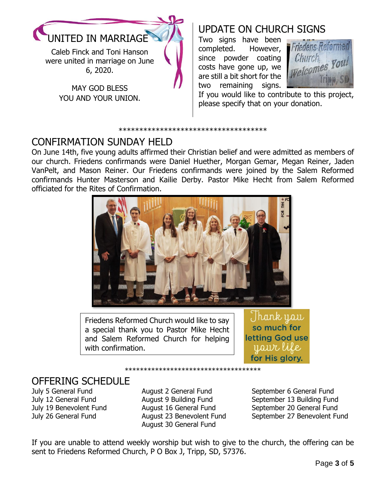

Caleb Finck and Toni Hanson were united in marriage on June 6, 2020.

> MAY GOD BLESS YOU AND YOUR UNION.

# UPDATE ON CHURCH SIGNS

Two signs have been completed. However, since powder coating costs have gone up, we are still a bit short for the two remaining signs.



If you would like to contribute to this project, please specify that on your donation.

#### \*\*\*\*\*\*\*\*\*\*\*\*\*\*\*\*\*\*\*\*\*\*\*\*\*\*\*\*\*\*\*\*\*\*\*\*

## CONFIRMATION SUNDAY HELD

On June 14th, five young adults affirmed their Christian belief and were admitted as members of our church. Friedens confirmands were Daniel Huether, Morgan Gemar, Megan Reiner, Jaden VanPelt, and Mason Reiner. Our Friedens confirmands were joined by the Salem Reformed confirmands Hunter Masterson and Kailie Derby. Pastor Mike Hecht from Salem Reformed officiated for the Rites of Confirmation.



Friedens Reformed Church would like to say a special thank you to Pastor Mike Hecht and Salem Reformed Church for helping with confirmation.

Thank yau so much for letting God use yaur life for His glory.

## OFFERING SCHEDULE

July 5 General Fund July 12 General Fund July 19 Benevolent Fund July 26 General Fund

August 2 General Fund August 9 Building Fund August 16 General Fund August 23 Benevolent Fund August 30 General Fund

\*\*\*\*\*\*\*\*\*\*\*\*\*\*\*\*\*\*\*\*\*\*\*\*\*\*\*\*\*\*\*\*\*\*\*\*

September 6 General Fund September 13 Building Fund September 20 General Fund September 27 Benevolent Fund

If you are unable to attend weekly worship but wish to give to the church, the offering can be sent to Friedens Reformed Church, P O Box J, Tripp, SD, 57376.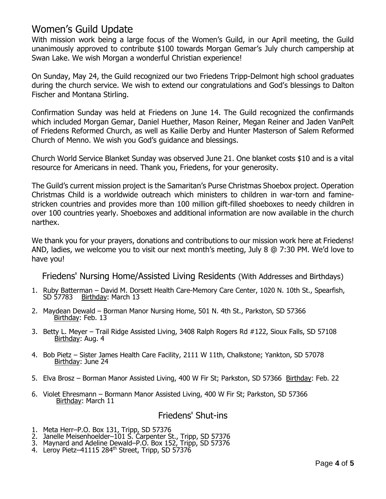## Women's Guild Update

With mission work being a large focus of the Women's Guild, in our April meeting, the Guild unanimously approved to contribute \$100 towards Morgan Gemar's July church campership at Swan Lake. We wish Morgan a wonderful Christian experience!

On Sunday, May 24, the Guild recognized our two Friedens Tripp-Delmont high school graduates during the church service. We wish to extend our congratulations and God's blessings to Dalton Fischer and Montana Stirling.

Confirmation Sunday was held at Friedens on June 14. The Guild recognized the confirmands which included Morgan Gemar, Daniel Huether, Mason Reiner, Megan Reiner and Jaden VanPelt of Friedens Reformed Church, as well as Kailie Derby and Hunter Masterson of Salem Reformed Church of Menno. We wish you God's guidance and blessings.

Church World Service Blanket Sunday was observed June 21. One blanket costs \$10 and is a vital resource for Americans in need. Thank you, Friedens, for your generosity.

The Guild's current mission project is the Samaritan's Purse Christmas Shoebox project. Operation Christmas Child is a worldwide outreach which ministers to children in war-torn and faminestricken countries and provides more than 100 million gift-filled shoeboxes to needy children in over 100 countries yearly. Shoeboxes and additional information are now available in the church narthex.

We thank you for your prayers, donations and contributions to our mission work here at Friedens! AND, ladies, we welcome you to visit our next month's meeting, July 8 @ 7:30 PM. We'd love to have you!

Friedens' Nursing Home/Assisted Living Residents (With Addresses and Birthdays)

- 1. Ruby Batterman David M. Dorsett Health Care-Memory Care Center, 1020 N. 10th St., Spearfish, Birthday: March 13
- 2. Maydean Dewald Borman Manor Nursing Home, 501 N. 4th St., Parkston, SD 57366 Birthday: Feb. 13
- 3. Betty L. Meyer Trail Ridge Assisted Living, 3408 Ralph Rogers Rd #122, Sioux Falls, SD 57108 Birthday: Aug. 4
- 4. Bob Pietz Sister James Health Care Facility, 2111 W 11th, Chalkstone; Yankton, SD 57078 Birthday: June 24
- 5. Elva Brosz Borman Manor Assisted Living, 400 W Fir St; Parkston, SD 57366 Birthday: Feb. 22
- 6. Violet Ehresmann Bormann Manor Assisted Living, 400 W Fir St; Parkston, SD 57366 Birthday: March 11

#### Friedens' Shut-ins

- 1. Meta Herr–P.O. Box 131, Tripp, SD 57376
- 2. Janelle Meisenhoelder–101 S. Carpenter St., Tripp, SD 57376
- 3. Maynard and Adeline Dewald–P.O. Box 152, Tripp, SD 57376
- 4. Leroy Pietz-41115 284<sup>th</sup> Street, Tripp, SD 57376